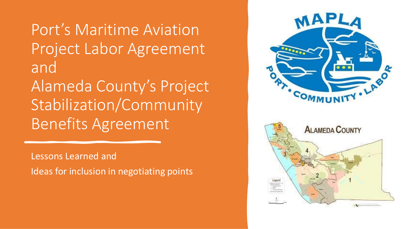Port's Maritime Aviation Project Labor Agreement and Alameda County's Project Stabilization/Community Benefits Agreement

Lessons Learned and Ideas for inclusion in negotiating points

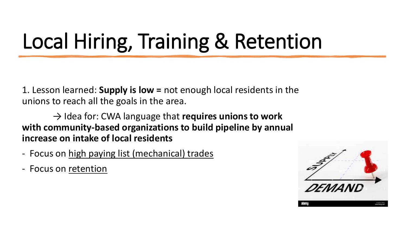# Local Hiring, Training & Retention

1. Lesson learned: **Supply is low =** not enough local residents in the unions to reach all the goals in the area.

→ Idea for: CWA language that **requires unions to work with community-based organizations to build pipeline by annual increase on intake of local residents**

- Focus on high paying list (mechanical) trades
- Focus on retention

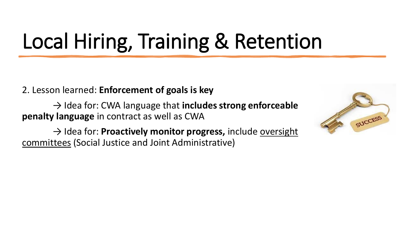## Local Hiring, Training & Retention

2. Lesson learned: **Enforcement of goals is key** 

→ Idea for: CWA language that **includes strong enforceable penalty language** in contract as well as CWA

→ Idea for: **Proactively monitor progress,** include oversight committees (Social Justice and Joint Administrative)

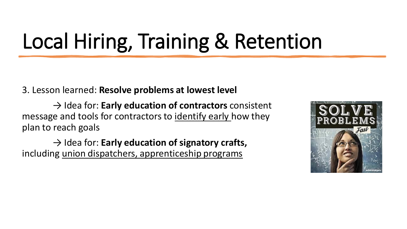## Local Hiring, Training & Retention

3. Lesson learned: **Resolve problems at lowest level**

→ Idea for: **Early education of contractors** consistent message and tools for contractors to identify early how they plan to reach goals

→ Idea for: **Early education of signatory crafts,**  including union dispatchers, apprenticeship programs

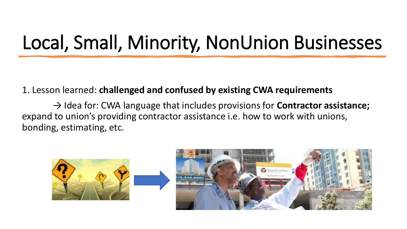### Local, Small, Minority, NonUnion Businesses

#### 1. Lesson learned: **challenged and confused by existing CWA requirements**

→ Idea for: CWA language that includes provisions for **Contractor assistance;**  expand to union's providing contractor assistance i.e. how to work with unions, bonding, estimating, etc.

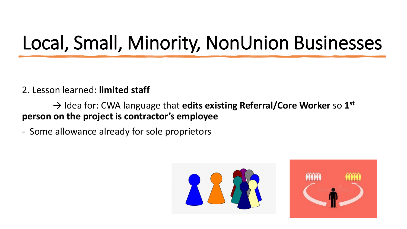### Local, Small, Minority, NonUnion Businesses

2. Lesson learned: **limited staff**

→ Idea for: CWA language that **edits existing Referral/Core Worker** so **1 st person on the project is contractor's employee** 

- Some allowance already for sole proprietors

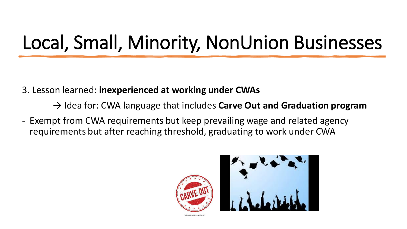### Local, Small, Minority, NonUnion Businesses

- 3. Lesson learned: **inexperienced at working under CWAs** 
	- → Idea for: CWA language that includes **Carve Out and Graduation program**
- Exempt from CWA requirements but keep prevailing wage and related agency requirements but after reaching threshold, graduating to work under CWA